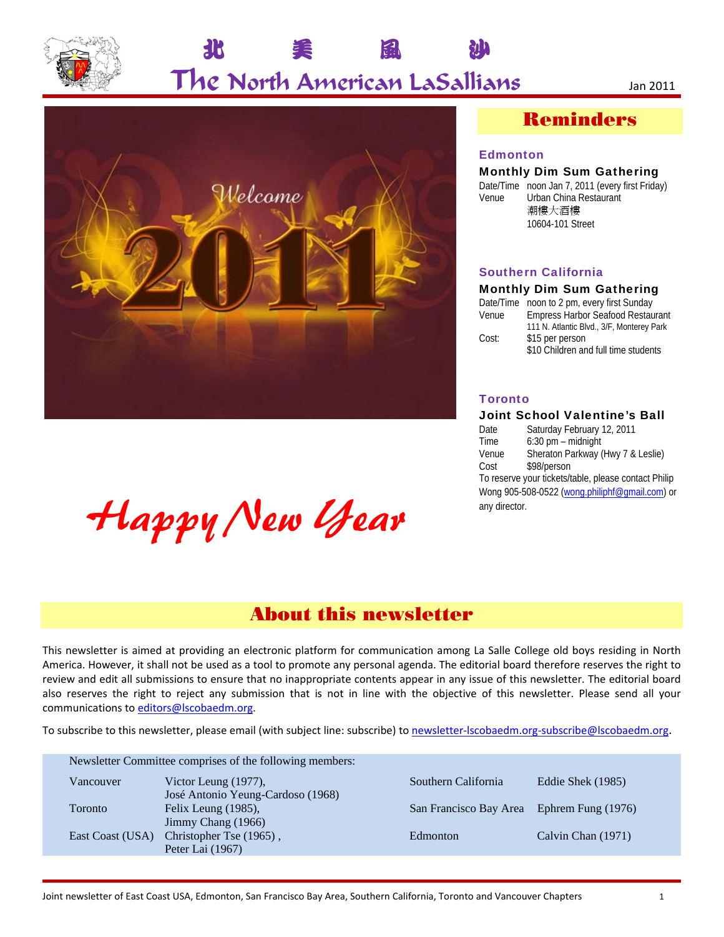

## The North American LaSallians Jan <sup>2011</sup>

北 美 風 沙



# Happy New Year

## Reminders

#### Edmonton

#### Monthly Dim Sum Gathering

Date/Time noon Jan 7, 2011 (every first Friday) Venue Urban China Restaurant 潮樓大酒樓 10604-101 Street

#### Southern California

#### Monthly Dim Sum Gathering

|       | Date/Time noon to 2 pm, every first Sunday |
|-------|--------------------------------------------|
| Venue | <b>Empress Harbor Seafood Restaurant</b>   |
|       | 111 N. Atlantic Blvd., 3/F, Monterey Park  |
| Cost: | \$15 per person                            |
|       | \$10 Children and full time students       |
|       |                                            |

#### **Toronto**

#### Joint School Valentine's Ball

Date Saturday February 12, 2011<br>Time 6:30 pm – midnight  $6:30$  pm – midnight Venue Sheraton Parkway (Hwy 7 & Leslie) Cost \$98/person To reserve your tickets/table, please contact Philip Wong 905-508-0522 (wong.philiphf@gmail.com) or any director.

## About this newsletter

This newsletter is aimed at providing an electronic platform for communication among La Salle College old boys residing in North America. However, it shall not be used as a tool to promote any personal agenda. The editorial board therefore reserves the right to review and edit all submissions to ensure that no inappropriate contents appear in any issue of this newsletter. The editorial board also reserves the right to reject any submission that is not in line with the objective of this newsletter. Please send all your communications to editors@lscobaedm.org.

To subscribe to this newsletter, please email (with subject line: subscribe) to newsletter‐lscobaedm.org‐subscribe@lscobaedm.org.

| Southern California<br>Eddie Shek (1985)<br>Victor Leung $(1977)$ ,<br>Vancouver<br>José Antonio Yeung-Cardoso (1968)<br>Felix Leung (1985),<br>San Francisco Bay Area Ephrem Fung (1976)<br>Toronto<br>Jimmy Chang (1966)<br>East Coast (USA) Christopher Tse (1965),<br>Calvin Chan (1971)<br>Edmonton | Newsletter Committee comprises of the following members: |                  |  |  |  |  |
|----------------------------------------------------------------------------------------------------------------------------------------------------------------------------------------------------------------------------------------------------------------------------------------------------------|----------------------------------------------------------|------------------|--|--|--|--|
|                                                                                                                                                                                                                                                                                                          |                                                          |                  |  |  |  |  |
|                                                                                                                                                                                                                                                                                                          |                                                          |                  |  |  |  |  |
|                                                                                                                                                                                                                                                                                                          |                                                          | Peter Lai (1967) |  |  |  |  |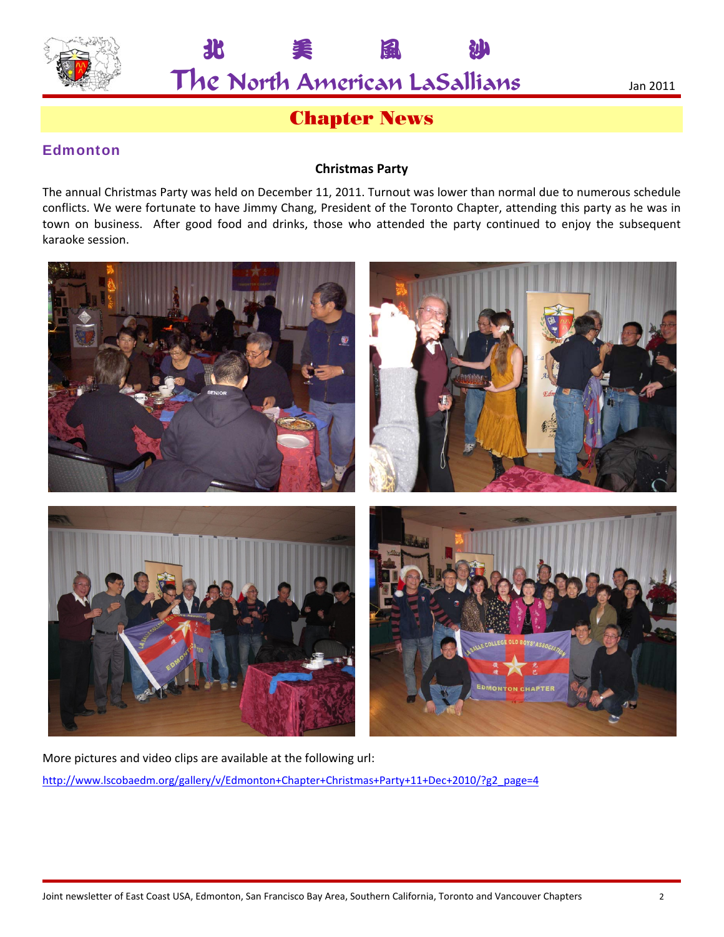

北

The North American LaSallians

## **Chapter News**

EH

#### **Edmonton**

#### **Christmas Party**

The annual Christmas Party was held on December 11, 2011. Turnout was lower than normal due to numerous schedule conflicts. We were fortunate to have Jimmy Chang, President of the Toronto Chapter, attending this party as he was in town on business. After good food and drinks, those who attended the party continued to enjoy the subsequent karaoke session.



More pictures and video clips are available at the following url: http://www.lscobaedm.org/gallery/v/Edmonton+Chapter+Christmas+Party+11+Dec+2010/?g2\_page=4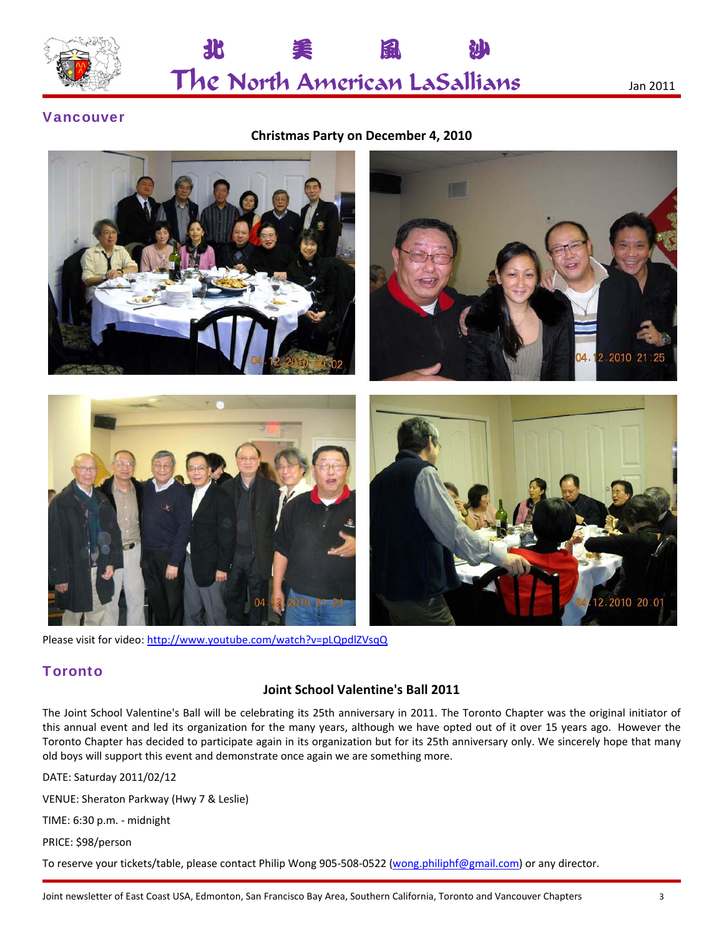

The North American LaSallians Jan <sup>2011</sup>

北 美 風 沙

#### Vancouver

#### **Christmas Party on December 4, 2010**



Please visit for video: http://www.youtube.com/watch?v=pLQpdlZVsqQ

#### **Toronto**

#### **Joint School Valentine's Ball 2011**

The Joint School Valentine's Ball will be celebrating its 25th anniversary in 2011. The Toronto Chapter was the original initiator of this annual event and led its organization for the many years, although we have opted out of it over 15 years ago. However the Toronto Chapter has decided to participate again in its organization but for its 25th anniversary only. We sincerely hope that many old boys will support this event and demonstrate once again we are something more.

DATE: Saturday 2011/02/12

VENUE: Sheraton Parkway (Hwy 7 & Leslie)

TIME: 6:30 p.m. ‐ midnight

PRICE: \$98/person

To reserve your tickets/table, please contact Philip Wong 905-508-0522 (wong.philiphf@gmail.com) or any director.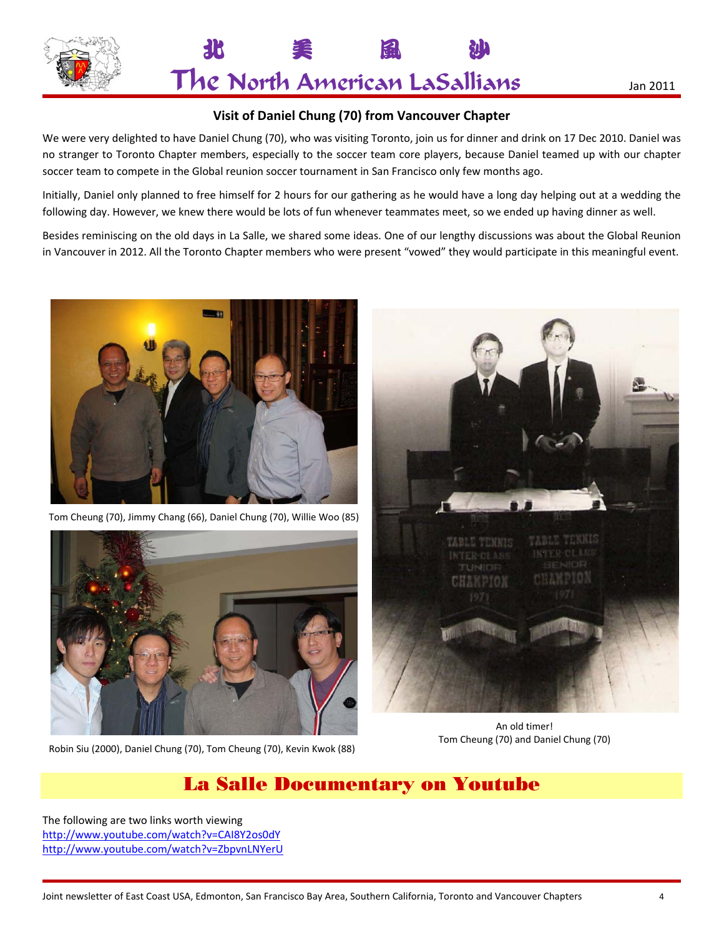

北 美 風 沙 The North American LaSallians Jan <sup>2011</sup>

#### **Visit of Daniel Chung (70) from Vancouver Chapter**

We were very delighted to have Daniel Chung (70), who was visiting Toronto, join us for dinner and drink on 17 Dec 2010. Daniel was no stranger to Toronto Chapter members, especially to the soccer team core players, because Daniel teamed up with our chapter soccer team to compete in the Global reunion soccer tournament in San Francisco only few months ago.

Initially, Daniel only planned to free himself for 2 hours for our gathering as he would have a long day helping out at a wedding the following day. However, we knew there would be lots of fun whenever teammates meet, so we ended up having dinner as well.

Besides reminiscing on the old days in La Salle, we shared some ideas. One of our lengthy discussions was about the Global Reunion in Vancouver in 2012. All the Toronto Chapter members who were present "vowed" they would participate in this meaningful event.



Tom Cheung (70), Jimmy Chang (66), Daniel Chung (70), Willie Woo (85)



Robin Siu (2000), Daniel Chung (70), Tom Cheung (70), Kevin Kwok (88)



An old timer! Tom Cheung (70) and Daniel Chung (70)

## La Salle Documentary on Youtube

The following are two links worth viewing http://www.youtube.com/watch?v=CAI8Y2os0dY http://www.youtube.com/watch?v=ZbpvnLNYerU